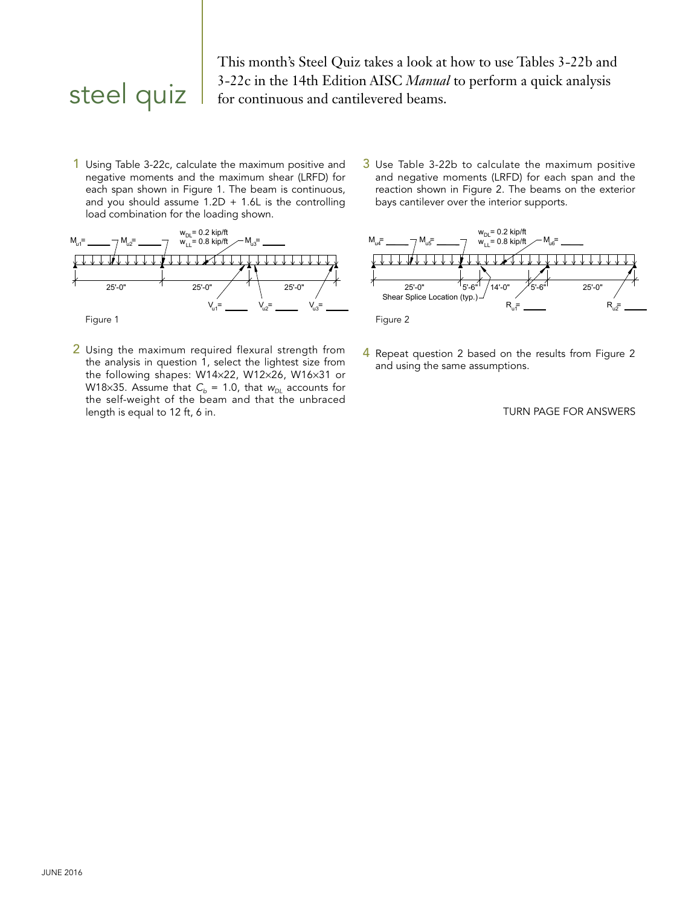This month's Steel Quiz takes a look at how to use Tables 3-22b and **Steel quiz**  $\begin{array}{|l} 3-22c \text{ in the 14th Edition AISC } \textit{Manual} \text{ to perform a quick analysis} \\ \text{for continuous and cantilevered beams.} \end{array}$ 

1 Using Table 3-22c, calculate the maximum positive and negative moments and the maximum shear (LRFD) for each span shown in Figure 1. The beam is continuous, and you should assume  $1.2D + 1.6L$  is the controlling load combination for the loading shown.



2 Using the maximum required flexural strength from the analysis in question 1, select the lightest size from the following shapes:  $W14 \times 22$ ,  $W12 \times 26$ ,  $W16 \times 31$  or W18×35. Assume that  $C_b = 1.0$ , that  $w_{DL}$  accounts for the self-weight of the beam and that the unbraced length is equal to 12 ft, 6 in.

 $3$  Use Table 3-22b to calculate the maximum positive and negative moments (LRFD) for each span and the reaction shown in Figure 2. The beams on the exterior bays cantilever over the interior supports.



4 Repeat question 2 based on the results from Figure 2 and using the same assumptions.

## TURN PAGE FOR ANSWERS